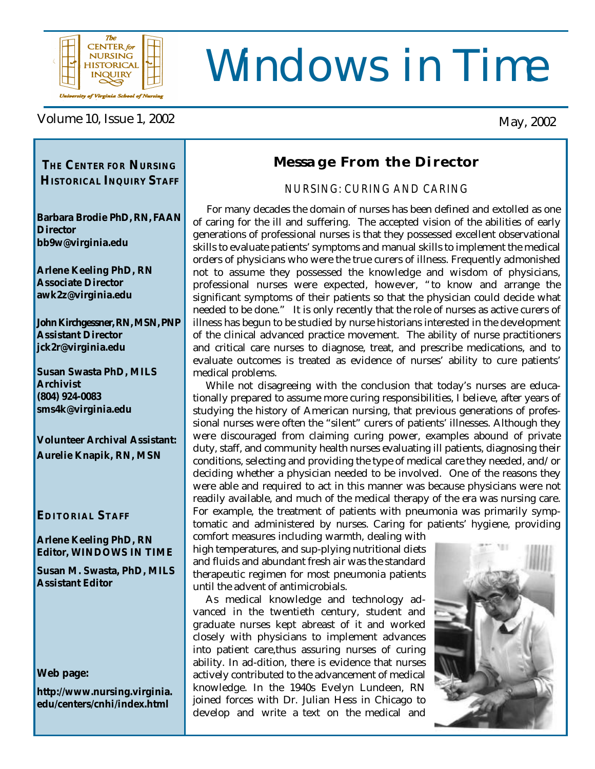

# Windows in Time

Volume 10, Issue 1, 2002 May, 2002

### *THE* **CENTER** *FOR* **NURSING Message From the Director**

*NURSING: CURING AND CARING*

 For many decades the domain of nurses has been defined and extolled as one of caring for the ill and suffering. The accepted vision of the abilities of early generations of professional nurses is that they possessed excellent observational skills to evaluate patients' symptoms and manual skills to implement the medical orders of physicians who were the true curers of illness. Frequently admonished not to assume they possessed the knowledge and wisdom of physicians, professional nurses were expected, however, "to know and arrange the significant symptoms of their patients so that the physician could decide what needed to be done." It is only recently that the role of nurses as active curers of illness has begun to be studied by nurse historians interested in the development of the clinical advanced practice movement. The ability of nurse practitioners and critical care nurses to diagnose, treat, and prescribe medications, and to evaluate outcomes is treated as evidence of nurses' ability to cure patients' medical problems.

 While not disagreeing with the conclusion that today's nurses are educationally prepared to assume more curing responsibilities, I believe, after years of studying the history of American nursing, that previous generations of professional nurses were often the "silent" curers of patients' illnesses. Although they were discouraged from claiming curing power, examples abound of private duty, staff, and community health nurses evaluating ill patients, diagnosing their conditions, selecting and providing the type of medical care they needed, and/or deciding whether a physician needed to be involved. One of the reasons they were able and required to act in this manner was because physicians were not readily available, and much of the medical therapy of the era was nursing care. For example, the treatment of patients with pneumonia was primarily symptomatic and administered by nurses. Caring for patients' hygiene, providing

comfort measures including warmth, dealing with high temperatures, and sup-plying nutritional diets and fluids and abundant fresh air was the standard therapeutic regimen for most pneumonia patients until the advent of antimicrobials.

 As medical knowledge and technology advanced in the twentieth century, student and graduate nurses kept abreast of it and worked closely with physicians to implement advances into patient care,thus assuring nurses of curing ability. In ad-dition, there is evidence that nurses actively contributed to the advancement of medical knowledge. In the 1940s Evelyn Lundeen, RN joined forces with Dr. Julian Hess in Chicago to develop and write a text on the medical and



**HISTORICAL INQUIRY STAFF**

**Barbara Brodie PhD, RN, FAAN Director bb9w@virginia.edu**

**Arlene Keeling PhD, RN Associate Director awk2z@virginia.edu**

**John Kirchgessner, RN, MSN, PNP Assistant Director jck2r@virginia.edu**

**Susan Swasta PhD, MILS Archivist (804) 924-0083 sms4k@virginia.edu**

**Volunteer Archival Assistant: Aurelie Knapik, RN, MSN**

### **EDITORIAL STAFF**

**Arlene Keeling PhD, RN Editor, WINDOWS IN TIME**

**Susan M. Swasta, PhD, MILS Assistant Editor**

**Web page:**

**http://www.nursing.virginia. edu/centers/cnhi/index.html**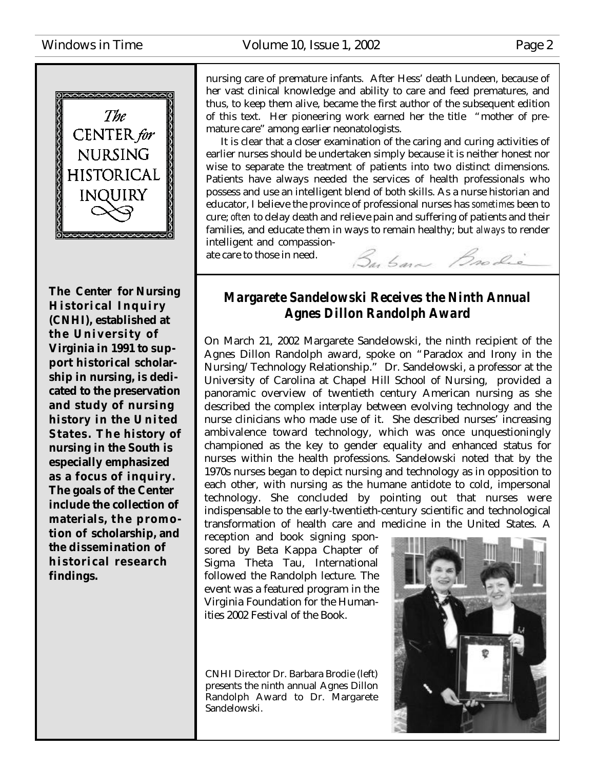

**The Center for Nursing Historical Inquiry (CNHI), established at the University of Virginia in 1991 to support historical scholarship in nursing, is dedicated to the preservation and study of nursing history in the U nited States. The history of nursing in the South is especially emphasized as a focus of inquiry. The goals of the Center include the collection of** materials, the promo**tion of scholarship, and the dissemination of historical research findings.**

nursing care of premature infants. After Hess' death Lundeen, because of her vast clinical knowledge and ability to care and feed prematures, and thus, to keep them alive, became the first author of the subsequent edition of this text. Her pioneering work earned her the title "mother of premature care" among earlier neonatologists.

 It is clear that a closer examination of the caring and curing activities of earlier nurses should be undertaken simply because it is neither honest nor wise to separate the treatment of patients into two distinct dimensions. Patients have always needed the services of health professionals who possess and use an intelligent blend of both skills. As a nurse historian and educator, I believe the province of professional nurses has *sometimes* been to cure; *often* to delay death and relieve pain and suffering of patients and their families, and educate them in ways to remain healthy; but *always* to render intelligent and compassion-

ate care to those in need.

### *Margarete Sandelowski Receives the Ninth Annual Agnes Dillon Randolph Award*

Buban Brodie

On March 21, 2002 Margarete Sandelowski, the ninth recipient of the Agnes Dillon Randolph award, spoke on "Paradox and Irony in the Nursing/Technology Relationship." Dr. Sandelowski, a professor at the University of Carolina at Chapel Hill School of Nursing, provided a panoramic overview of twentieth century American nursing as she described the complex interplay between evolving technology and the nurse clinicians who made use of it. She described nurses' increasing ambivalence toward technology, which was once unquestioningly championed as the key to gender equality and enhanced status for nurses within the health professions. Sandelowski noted that by the 1970s nurses began to depict nursing and technology as in opposition to each other, with nursing as the humane antidote to cold, impersonal technology. She concluded by pointing out that nurses were indispensable to the early-twentieth-century scientific and technological transformation of health care and medicine in the United States. A

reception and book signing sponsored by Beta Kappa Chapter of Sigma Theta Tau, International followed the Randolph lecture. The event was a featured program in the Virginia Foundation for the Humanities 2002 Festival of the Book.

CNHI Director Dr. Barbara Brodie (left) presents the ninth annual Agnes Dillon Randolph Award to Dr. Margarete Sandelowski.

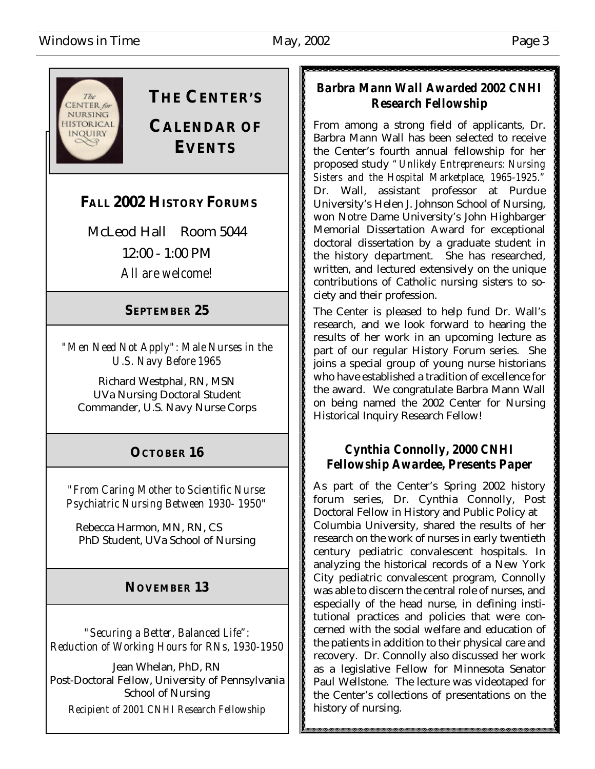

# **THE CENTER'S**

# **CALENDAR OF EVENTS**

# **FALL 2002 HISTORY FORUMS**

McLeod Hall Room 5044 12:00 - 1:00 PM *All are welcome!*

### **SEPTEMBER 25**

*"Men Need Not Apply": Male Nurses in the U.S. Navy Before 1965*

Richard Westphal, RN, MSN UVa Nursing Doctoral Student Commander, U.S. Navy Nurse Corps

# **OCTOBER 16**

*"From Caring Mother to Scientific Nurse: Psychiatric Nursing Between 1930- 1950"*

Rebecca Harmon, MN, RN, CS PhD Student, UVa School of Nursing

### **NOVEMBER 13**

*"Securing a Better, Balanced Life": Reduction of Working Hours for RNs, 1930-1950*

Jean Whelan, PhD, RN Post-Doctoral Fellow, University of Pennsylvania School of Nursing *Recipient of 2001 CNHI Research Fellowship*

### *Barbra Mann Wall Awarded 2002 CNHI Research Fellowship*

From among a strong field of applicants, Dr. Barbra Mann Wall has been selected to receive the Center's fourth annual fellowship for her proposed study *"Unlikely Entrepreneurs: Nursing Sisters and the Hospital Marketplace, 1965-1925."* Dr. Wall, assistant professor at Purdue University's Helen J. Johnson School of Nursing, won Notre Dame University's John Highbarger Memorial Dissertation Award for exceptional doctoral dissertation by a graduate student in the history department. She has researched, written, and lectured extensively on the unique contributions of Catholic nursing sisters to society and their profession.

The Center is pleased to help fund Dr. Wall's research, and we look forward to hearing the results of her work in an upcoming lecture as part of our regular History Forum series. She joins a special group of young nurse historians who have established a tradition of excellence for the award. We congratulate Barbra Mann Wall on being named the 2002 Center for Nursing Historical Inquiry Research Fellow!

### *Cynthia Connolly, 2000 CNHI Fellowship Awardee, Presents Paper*

As part of the Center's Spring 2002 history forum series, Dr. Cynthia Connolly, Post Doctoral Fellow in History and Public Policy at Columbia University, shared the results of her research on the work of nurses in early twentieth century pediatric convalescent hospitals. In analyzing the historical records of a New York City pediatric convalescent program, Connolly was able to discern the central role of nurses, and especially of the head nurse, in defining institutional practices and policies that were concerned with the social welfare and education of the patients in addition to their physical care and recovery. Dr. Connolly also discussed her work as a legislative Fellow for Minnesota Senator Paul Wellstone. The lecture was videotaped for the Center's collections of presentations on the history of nursing.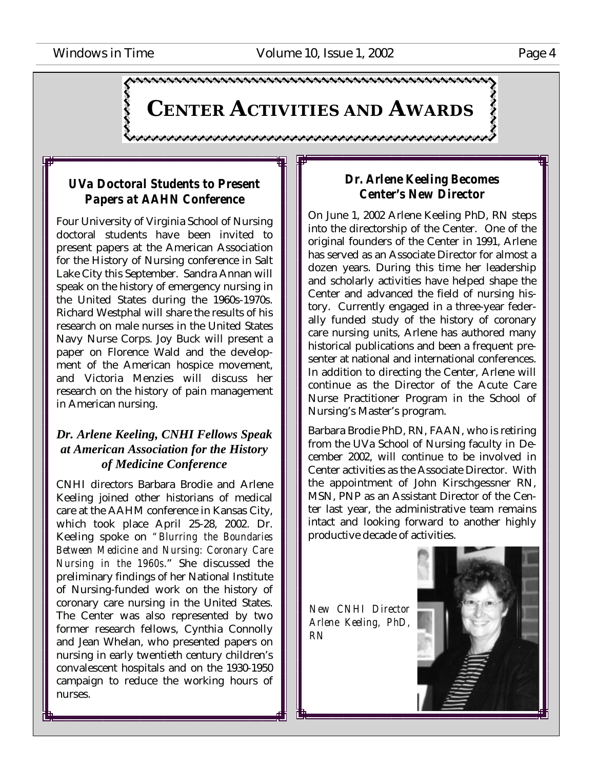juokanna valtaanna valtaanna valtaanna valtaanna valtaanna valtaanna valtaanna v **CENTER ACTIVITIES AND AWARDS**

### *UVa Doctoral Students to Present Papers at AAHN Conference*

Four University of Virginia School of Nursing doctoral students have been invited to present papers at the American Association for the History of Nursing conference in Salt Lake City this September. Sandra Annan will speak on the history of emergency nursing in the United States during the 1960s-1970s. Richard Westphal will share the results of his research on male nurses in the United States Navy Nurse Corps. Joy Buck will present a paper on Florence Wald and the development of the American hospice movement, and Victoria Menzies will discuss her research on the history of pain management in American nursing.

### *Dr. Arlene Keeling, CNHI Fellows Speak at American Association for the History of Medicine Conference*

CNHI directors Barbara Brodie and Arlene Keeling joined other historians of medical care at the AAHM conference in Kansas City, which took place April 25-28, 2002. Dr. Keeling spoke on *"Blurring the Boundaries Between Medicine and Nursing: Coronary Care Nursing in the 1960s*." She discussed the preliminary findings of her National Institute of Nursing-funded work on the history of coronary care nursing in the United States. The Center was also represented by two former research fellows, Cynthia Connolly and Jean Whelan, who presented papers on nursing in early twentieth century children's convalescent hospitals and on the 1930-1950 campaign to reduce the working hours of nurses.

### *Dr. Arlene Keeling Becomes Center's New Director*

On June 1, 2002 Arlene Keeling PhD, RN steps into the directorship of the Center. One of the original founders of the Center in 1991, Arlene has served as an Associate Director for almost a dozen years. During this time her leadership and scholarly activities have helped shape the Center and advanced the field of nursing history. Currently engaged in a three-year federally funded study of the history of coronary care nursing units, Arlene has authored many historical publications and been a frequent presenter at national and international conferences. In addition to directing the Center, Arlene will continue as the Director of the Acute Care Nurse Practitioner Program in the School of Nursing's Master's program.

Barbara Brodie PhD, RN, FAAN, who is retiring from the UVa School of Nursing faculty in December 2002, will continue to be involved in Center activities as the Associate Director. With the appointment of John Kirschgessner RN, MSN, PNP as an Assistant Director of the Center last year, the administrative team remains intact and looking forward to another highly productive decade of activities.

*New CNHI Director Arlene Keeling, PhD, RN*

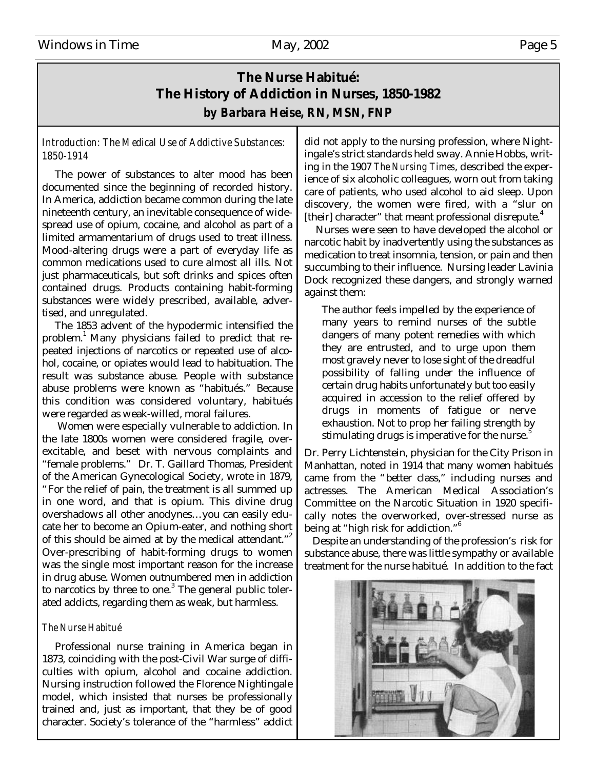### **The Nurse Habitué: The History of Addiction in Nurses, 1850-1982** *by Barbara Heise, RN, MSN, FNP*

### *Introduction: The Medical Use of Addictive Substances: 1850-1914*

 The power of substances to alter mood has been documented since the beginning of recorded history. In America, addiction became common during the late nineteenth century, an inevitable consequence of widespread use of opium, cocaine, and alcohol as part of a limited armamentarium of drugs used to treat illness. Mood-altering drugs were a part of everyday life as common medications used to cure almost all ills. Not just pharmaceuticals, but soft drinks and spices often contained drugs. Products containing habit-forming substances were widely prescribed, available, advertised, and unregulated.

 The 1853 advent of the hypodermic intensified the problem.<sup>1</sup> Many physicians failed to predict that repeated injections of narcotics or repeated use of alcohol, cocaine, or opiates would lead to habituation. The result was substance abuse. People with substance abuse problems were known as "habitués." Because this condition was considered voluntary, habitués were regarded as weak-willed, moral failures.

 Women were especially vulnerable to addiction. In the late 1800s women were considered fragile, overexcitable, and beset with nervous complaints and "female problems." Dr. T. Gaillard Thomas, President of the American Gynecological Society, wrote in 1879, "For the relief of pain, the treatment is all summed up in one word, and that is opium. This divine drug overshadows all other anodynes… you can easily educate her to become an Opium-eater, and nothing short of this should be aimed at by the medical attendant."<sup>2</sup> Over-prescribing of habit-forming drugs to women was the single most important reason for the increase in drug abuse. Women outnumbered men in addiction to narcotics by three to one. $3$  The general public tolerated addicts, regarding them as weak, but harmless.

### *The Nurse Habitué*

Professional nurse training in America began in 1873, coinciding with the post-Civil War surge of difficulties with opium, alcohol and cocaine addiction. Nursing instruction followed the Florence Nightingale model, which insisted that nurses be professionally trained and, just as important, that they be of good character. Society's tolerance of the "harmless" addict

did not apply to the nursing profession, where Nightingale's strict standards held sway. Annie Hobbs, writing in the 1907 *The Nursing Times*, described the experience of six alcoholic colleagues, worn out from taking care of patients, who used alcohol to aid sleep. Upon discovery, the women were fired, with a "slur on [their] character" that meant professional disrepute.<sup>4</sup>

 Nurses were seen to have developed the alcohol or narcotic habit by inadvertently using the substances as medication to treat insomnia, tension, or pain and then succumbing to their influence. Nursing leader Lavinia Dock recognized these dangers, and strongly warned against them:

The author feels impelled by the experience of many years to remind nurses of the subtle dangers of many potent remedies with which they are entrusted, and to urge upon them most gravely never to lose sight of the dreadful possibility of falling under the influence of certain drug habits unfortunately but too easily acquired in accession to the relief offered by drugs in moments of fatigue or nerve exhaustion. Not to prop her failing strength by stimulating drugs is imperative for the nurse.<sup>5</sup>

Dr. Perry Lichtenstein, physician for the City Prison in Manhattan, noted in 1914 that many women habitués came from the "better class," including nurses and actresses. The American Medical Association's Committee on the Narcotic Situation in 1920 specifically notes the overworked, over-stressed nurse as being at "high risk for addiction."<sup>6</sup>

 Despite an understanding of the profession's risk for substance abuse, there was little sympathy or available treatment for the nurse habitué. In addition to the fact

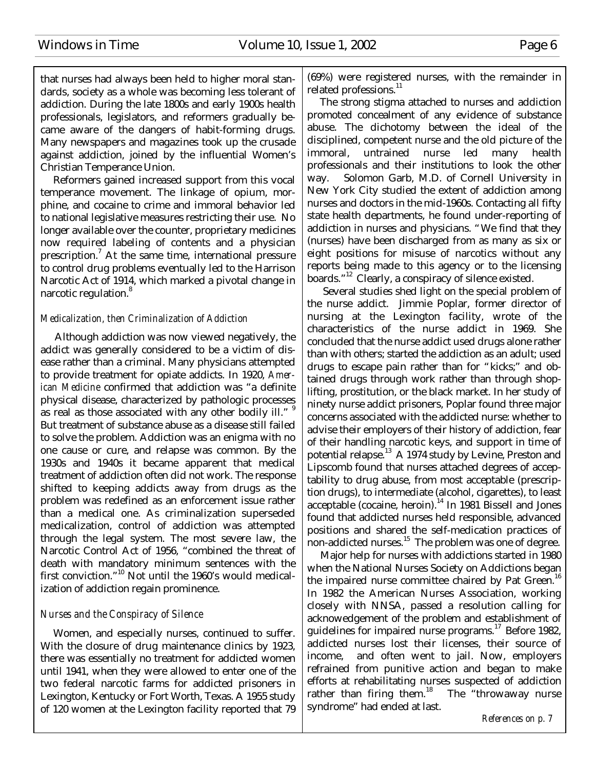that nurses had always been held to higher moral standards, society as a whole was becoming less tolerant of addiction. During the late 1800s and early 1900s health professionals, legislators, and reformers gradually became aware of the dangers of habit-forming drugs. Many newspapers and magazines took up the crusade against addiction, joined by the influential Women's Christian Temperance Union.

 Reformers gained increased support from this vocal temperance movement. The linkage of opium, morphine, and cocaine to crime and immoral behavior led to national legislative measures restricting their use. No longer available over the counter, proprietary medicines now required labeling of contents and a physician prescription.<sup>7</sup> At the same time, international pressure to control drug problems eventually led to the Harrison Narcotic Act of 1914, which marked a pivotal change in narcotic regulation.<sup>8</sup>

### *Medicalization, then Criminalization of Addiction*

 Although addiction was now viewed negatively, the addict was generally considered to be a victim of disease rather than a criminal. Many physicians attempted to provide treatment for opiate addicts. In 1920, *American Medicine* confirmed that addiction was "a definite physical disease, characterized by pathologic processes as real as those associated with any other bodily ill." " But treatment of substance abuse as a disease still failed to solve the problem. Addiction was an enigma with no one cause or cure, and relapse was common. By the 1930s and 1940s it became apparent that medical treatment of addiction often did not work. The response shifted to keeping addicts away from drugs as the problem was redefined as an enforcement issue rather than a medical one. As criminalization superseded medicalization, control of addiction was attempted through the legal system. The most severe law, the Narcotic Control Act of 1956, "combined the threat of death with mandatory minimum sentences with the first conviction."<sup>10</sup> Not until the 1960's would medicalization of addiction regain prominence.

### *Nurses and the Conspiracy of Silence*

Women, and especially nurses, continued to suffer. With the closure of drug maintenance clinics by 1923, there was essentially no treatment for addicted women until 1941, when they were allowed to enter one of the two federal narcotic farms for addicted prisoners in Lexington, Kentucky or Fort Worth, Texas. A 1955 study of 120 women at the Lexington facility reported that 79

(69%) were registered nurses, with the remainder in related professions.<sup>11</sup>

 The strong stigma attached to nurses and addiction promoted concealment of any evidence of substance abuse. The dichotomy between the ideal of the disciplined, competent nurse and the old picture of the immoral, untrained nurse led many health professionals and their institutions to look the other way. Solomon Garb, M.D. of Cornell University in New York City studied the extent of addiction among nurses and doctors in the mid-1960s. Contacting all fifty state health departments, he found under-reporting of addiction in nurses and physicians. "We find that they (nurses) have been discharged from as many as six or eight positions for misuse of narcotics without any reports being made to this agency or to the licensing boards."<sup>12</sup> Clearly, a conspiracy of silence existed.

 Several studies shed light on the special problem of the nurse addict. Jimmie Poplar, former director of nursing at the Lexington facility, wrote of the characteristics of the nurse addict in 1969. She concluded that the nurse addict used drugs alone rather than with others; started the addiction as an adult; used drugs to escape pain rather than for "kicks;" and obtained drugs through work rather than through shoplifting, prostitution, or the black market. In her study of ninety nurse addict prisoners, Poplar found three major concerns associated with the addicted nurse: whether to advise their employers of their history of addiction, fear of their handling narcotic keys, and support in time of potential relapse.<sup>13</sup> A 1974 study by Levine, Preston and Lipscomb found that nurses attached degrees of acceptability to drug abuse, from most acceptable (prescription drugs), to intermediate (alcohol, cigarettes), to least acceptable (cocaine, heroin).<sup>14</sup> In 1981 Bissell and Jones found that addicted nurses held responsible, advanced positions and shared the self-medication practices of non-addicted nurses. $15$  The problem was one of degree.

 Major help for nurses with addictions started in 1980 when the National Nurses Society on Addictions began the impaired nurse committee chaired by Pat Green.<sup>16</sup> In 1982 the American Nurses Association, working closely with NNSA, passed a resolution calling for acknowedgement of the problem and establishment of guidelines for impaired nurse programs.<sup>17</sup> Before 1982, addicted nurses lost their licenses, their source of income, and often went to jail. Now, employers refrained from punitive action and began to make efforts at rehabilitating nurses suspected of addiction rather than firing them.<sup>18</sup> The "throwaway nurse syndrome" had ended at last.

*References on p. 7*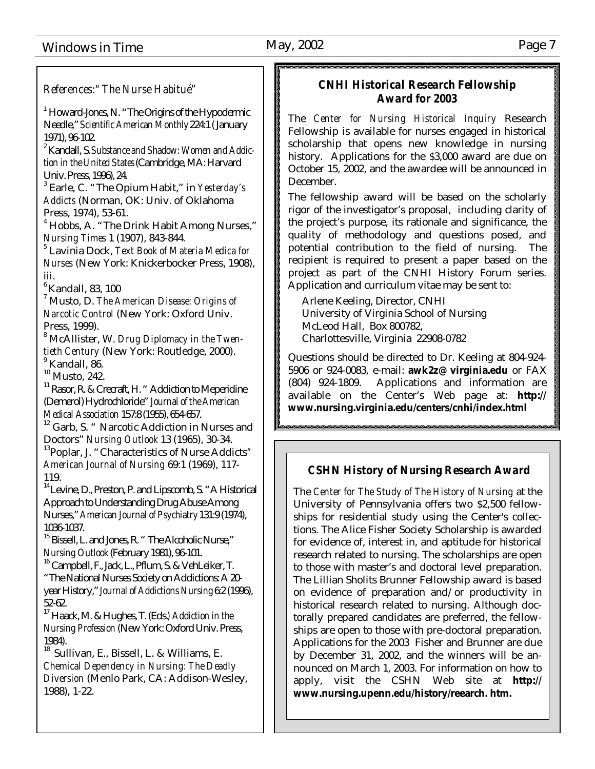Windows in Time May, 2002 May, 2002

*References:"The Nurse Habitué"*

 $<sup>1</sup>$  Howard-Jones, N. "The Origins of the Hypodermic</sup> Needle," *Scientific American Monthly* 224:1 ( January 1971), 96-102.

2 Kandall, S. *Substance and Shadow: Women and Addiction in the United States* (Cambridge, MA: Harvard Univ. Press, 1996), 24.

3 Earle, C. "The Opium Habit," in *Yesterday's Addicts* (Norman, OK: Univ. of Oklahoma Press, 1974), 53-61.

<sup>4</sup> Hobbs, A. "The Drink Habit Among Nurses," *Nursing Times* 1 (1907), 843-844*.*

5 Lavinia Dock, *Text Book of Materia Medica for Nurses* (New York: Knickerbocker Press, 1908), iii.

 $6$ Kandall, 83, 100

7 Musto, D. *The American Disease: Origins of Narcotic Control* (New York: Oxford Univ. Press, 1999).

<sup>8</sup> McAllister, W. *Drug Diplomacy in the Twentieth Century* (New York: Routledge, 2000). 9 Kandall, 86.

<sup>10</sup> Musto, 242.

 $^{11}$  Rasor, R. & Crecraft, H. " Addiction to Meperidine (Demerol) Hydrochloride" *Journal of the American Medical Association* 157:8 (1955), 654-657.

<sup>12</sup> Garb. S. " Narcotic Addiction in Nurses and Doctors" *Nursing Outlook* 13 (1965), 30-34.

<sup>13</sup>Poplar, J. "Characteristics of Nurse Addicts*" American Journal of Nursing* 69:1 (1969), 117- 119.

<sup>14</sup> Levine, D., Preston, P. and Lipscomb, S. "A Historical Approach to Understanding Drug Abuse Among Nurses," *American Journal of Psychiatry* 131:9 (1974), 1036-1037.

 $^{15}$  Bissell, L. and Jones, R. " The Alcoholic Nurse," *Nursing Outlook* (February 1981), 96-101.

<sup>16</sup> Campbell, F., Jack, L., Pflum, S. & VehLeiker, T. "The National Nurses Society on Addictions: A 20 year History," *Journal of Addictions Nursing* 6:2 (1996), 52-62.

<sup>17</sup>Haack, M. & Hughes, T. (Eds.*) Addiction in the Nursing Profession* (New York: Oxford Univ. Press, 1984).

<sup>18</sup> Sullivan, E., Bissell, L. & Williams, E. *Chemical Dependency in Nursing: The Deadly Diversion* (Menlo Park, CA: Addison-Wesley, 1988), 1-22.

### *CNHI Historical Research Fellowship Award for 2003*

\*\*\*\*\*\*\*\*\*\*\*\*\*\*\*\*\*\*\*\*\*\*\*\*

The *Center for Nursing Historical Inquiry* Research Fellowship is available for nurses engaged in historical scholarship that opens new knowledge in nursing history. Applications for the \$3,000 award are due on October 15, 2002, and the awardee will be announced in December.

The fellowship award will be based on the scholarly rigor of the investigator's proposal, including clarity of the project's purpose, its rationale and significance, the quality of methodology and questions posed, and potential contribution to the field of nursing. The recipient is required to present a paper based on the project as part of the CNHI History Forum series. Application and curriculum vitae may be sent to:

Arlene Keeling, Director, CNHI University of Virginia School of Nursing McLeod Hall, Box 800782, Charlottesville, Virginia 22908-0782

Questions should be directed to Dr. Keeling at 804-924- 5906 or 924-0083, e-mail: **awk2z@ virginia.edu** or FAX (804) 924-1809. Applications and information are available on the Center's Web page at: **http:// www.nursing.virginia.edu/centers/cnhi/index.html**

### *CSHN History of Nursing Research Award*

The *Center for The Study of The History of Nursing* at the University of Pennsylvania offers two \$2,500 fellowships for residential study using the Center's collections. The Alice Fisher Society Scholarship is awarded for evidence of, interest in, and aptitude for historical research related to nursing. The scholarships are open to those with master's and doctoral level preparation. The Lillian Sholits Brunner Fellowship award is based on evidence of preparation and/or productivity in historical research related to nursing. Although doctorally prepared candidates are preferred, the fellowships are open to those with pre-doctoral preparation. Applications for the 2003 Fisher and Brunner are due by December 31, 2002, and the winners will be announced on March 1, 2003. For information on how to apply, visit the CSHN Web site at **http:// www.nursing.upenn.edu/history/reearch. htm.**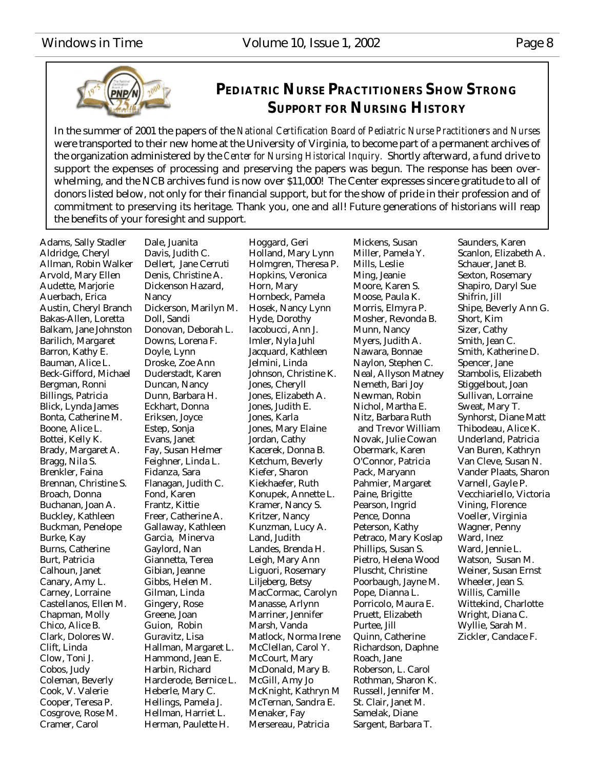

### **PEDIATRIC NURSE PRACTITIONERS SHOW STRONG SUPPORT FOR NURSING HISTORY**

In the summer of 2001 the papers of the *National Certification Board of Pediatric Nurse Practitioners and Nurses* were transported to their new home at the University of Virginia, to become part of a permanent archives of the organization administered by the *Center for Nursing Historical Inquiry.* Shortly afterward, a fund drive to support the expenses of processing and preserving the papers was begun. The response has been overwhelming, and the NCB archives fund is now over \$11,000! The Center expresses sincere gratitude to all of donors listed below, not only for their financial support, but for the show of pride in their profession and of commitment to preserving its heritage. Thank you, one and all! Future generations of historians will reap the benefits of your foresight and support.

Adams, Sally Stadler Aldridge, Cheryl Allman, Robin Walker Arvold, Mary Ellen Audette, Marjorie Auerbach, Erica Austin, Cheryl Branch Bakas-Allen, Loretta Balkam, Jane Johnston Barilich, Margaret Barron, Kathy E. Bauman, Alice L. Beck-Gifford, Michael Bergman, Ronni Billings, Patricia Blick, Lynda James Bonta, Catherine M. Boone, Alice L. Bottei, Kelly K. Brady, Margaret A. Bragg, Nila S. Brenkler, Faina Brennan, Christine S. Broach, Donna Buchanan, Joan A. Buckley, Kathleen Buckman, Penelope Burke, Kay Burns, Catherine Burt, Patricia Calhoun, Janet Canary, Amy L. Carney, Lorraine Castellanos, Ellen M. Chapman, Molly Chico, Alice B. Clark, Dolores W. Clift, Linda Clow, Toni J. Cobos, Judy Coleman, Beverly Cook, V. Valerie Cooper, Teresa P. Cosgrove, Rose M. Cramer, Carol

Dale, Juanita Davis, Judith C. Dellert, Jane Cerruti Denis, Christine A. Dickenson Hazard, Nancy Dickerson, Marilyn M. Doll, Sandi Donovan, Deborah L. Downs, Lorena F. Doyle, Lynn Droske, Zoe Ann Duderstadt, Karen Duncan, Nancy Dunn, Barbara H. Eckhart, Donna Eriksen, Joyce Estep, Sonja Evans, Janet Fay, Susan Helmer Feighner, Linda L. Fidanza, Sara Flanagan, Judith C. Fond, Karen Frantz, Kittie Freer, Catherine A. Gallaway, Kathleen Garcia, Minerva Gaylord, Nan Giannetta, Terea Gibian, Jeanne Gibbs, Helen M. Gilman, Linda Gingery, Rose Greene, Joan Guion, Robin Guravitz, Lisa Hallman, Margaret L. Hammond, Jean E. Harbin, Richard Harclerode, Bernice L. Heberle, Mary C. Hellings, Pamela J. Hellman, Harriet L. Herman, Paulette H.

Hoggard, Geri Holland, Mary Lynn Holmgren, Theresa P. Hopkins, Veronica Horn, Mary Hornbeck, Pamela Hosek, Nancy Lynn Hyde, Dorothy Iacobucci, Ann J. Imler, Nyla Juhl Jacquard, Kathleen Jelmini, Linda Johnson, Christine K. Jones, Cheryll Jones, Elizabeth A. Jones, Judith E. Jones, Karla Jones, Mary Elaine Jordan, Cathy Kacerek, Donna B. Ketchum, Beverly Kiefer, Sharon Kiekhaefer, Ruth Konupek, Annette L. Kramer, Nancy S. Kritzer, Nancy Kunzman, Lucy A. Land, Judith Landes, Brenda H. Leigh, Mary Ann Liguori, Rosemary Liljeberg, Betsy MacCormac, Carolyn Manasse, Arlynn Marriner, Jennifer Marsh, Vanda Matlock, Norma Irene McClellan, Carol Y. McCourt, Mary McDonald, Mary B. McGill, Amy Jo McKnight, Kathryn M McTernan, Sandra E. Menaker, Fay Mersereau, Patricia

Mickens, Susan Miller, Pamela Y. Mills, Leslie Ming, Jeanie Moore, Karen S. Moose, Paula K. Morris, Elmyra P. Mosher, Revonda B. Munn, Nancy Myers, Judith A. Nawara, Bonnae Naylon, Stephen C. Neal, Allyson Matney Nemeth, Bari Joy Newman, Robin Nichol, Martha E. Nitz, Barbara Ruth and Trevor William Novak, Julie Cowan Obermark, Karen O'Connor, Patricia Pack, Maryann Pahmier, Margaret Paine, Brigitte Pearson, Ingrid Pence, Donna Peterson, Kathy Petraco, Mary Koslap Phillips, Susan S. Pietro, Helena Wood Pluscht, Christine Poorbaugh, Jayne M. Pope, Dianna L. Porricolo, Maura E. Pruett, Elizabeth Purtee, Jill Quinn, Catherine Richardson, Daphne Roach, Jane Roberson, L. Carol Rothman, Sharon K. Russell, Jennifer M. St. Clair, Janet M. Samelak, Diane Sargent, Barbara T.

Saunders, Karen Scanlon, Elizabeth A. Schauer, Janet B. Sexton, Rosemary Shapiro, Daryl Sue Shifrin, Jill Shipe, Beverly Ann G. Short, Kim Sizer, Cathy Smith, Jean C. Smith, Katherine D. Spencer, Jane Stambolis, Elizabeth Stiggelbout, Joan Sullivan, Lorraine Sweat, Mary T. Synhorst, Diane Matt Thibodeau, Alice K. Underland, Patricia Van Buren, Kathryn Van Cleve, Susan N. Vander Plaats, Sharon Varnell, Gayle P. Vecchiariello, Victoria Vining, Florence Voeller, Virginia Wagner, Penny Ward, Inez Ward, Jennie L. Watson, Susan M. Weiner, Susan Ernst Wheeler, Jean S. Willis, Camille Wittekind, Charlotte Wright, Diana C. Wyllie, Sarah M. Zickler, Candace F.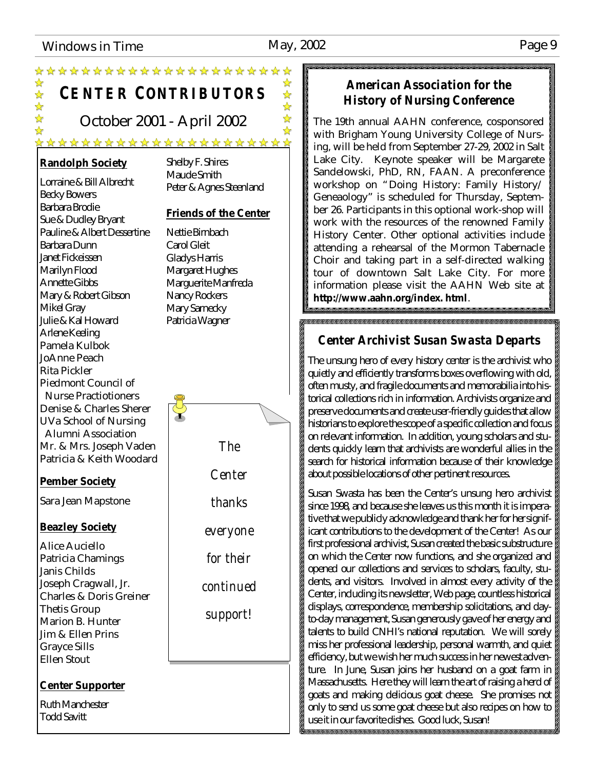### Windows in Time May, 2002 May, 2002

☆ 琴琴:

 $\frac{\lambda}{\lambda}$ 

✿

琴琴

 $\frac{\lambda}{\lambda}$ 

 $\frac{\lambda}{\Delta t}$ 

# **CENTER CONTRIBUTORS**

\*\*\*\*\*\*\*\*\*\*\*\*\*\*\*\*\*\*\*\*\*\*

October 2001 - April 2002

### \*\*\*\*\*\*\*\*\*\*\*\*\*\*\*\*\*\*\*\*\*\*

### **Randolph Society**

Lorraine & Bill Albrecht Becky Bowers Barbara Brodie Sue & Dudley Bryant Pauline & Albert Dessertine Barbara Dunn Janet Fickeissen Marilyn Flood Annette Gibbs Mary & Robert Gibson Mikel Gray Julie & Kal Howard Arlene Keeling Pamela Kulbok JoAnne Peach Rita Pickler Piedmont Council of Nurse Practiotioners Denise & Charles Sherer UVa School of Nursing Alumni Association Mr. & Mrs. Joseph Vaden Patricia & Keith Woodard

### **Pember Society**

Sara Jean Mapstone

### **Beazley Society**

Alice Auciello Patricia Chamings Janis Childs Joseph Cragwall, Jr. Charles & Doris Greiner Thetis Group Marion B. Hunter Jim & Ellen Prins Grayce Sills Ellen Stout

### **Center Supporter**

Ruth Manchester Todd Savitt

Shelby F. Shires Maude Smith Peter & Agnes Steenland

### **Friends of the Center**

Nettie Birnbach Carol Gleit Gladys Harris Margaret Hughes Marguerite Manfreda Nancy Rockers Mary Sarnecky Patricia Wagner



### *American Association for the History of Nursing Conference*

The 19th annual AAHN conference, cosponsored with Brigham Young University College of Nursing, will be held from September 27-29, 2002 in Salt Lake City. Keynote speaker will be Margarete Sandelowski, PhD, RN, FAAN. A preconference workshop on "Doing History: Family History/ Geneaology" is scheduled for Thursday, September 26. Participants in this optional work-shop will work with the resources of the renowned Family History Center. Other optional activities include attending a rehearsal of the Mormon Tabernacle Choir and taking part in a self-directed walking tour of downtown Salt Lake City. For more information please visit the AAHN Web site at **http://www.aahn.org/index. html**.

### *Center Archivist Susan Swasta Departs*

The unsung hero of every history center is the archivist who quietly and efficiently transforms boxes overflowing with old, often musty, and fragile documents and memorabilia into historical collections rich in information. Archivists organize and preserve documents and create user-friendly guides that allow historians to explore the scope of a specific collection and focus on relevant information. In addition, young scholars and students quickly learn that archivists are wonderful allies in the search for historical information because of their knowledge about possible locations of other pertinent resources.

Susan Swasta has been the Center's unsung hero archivist since 1998, and because she leaves us this month it is imperative that we publicly acknowledge and thank her for her significant contributions to the development of the Center! As our first professional archivist, Susan created the basic substructure on which the Center now functions, and she organized and opened our collections and services to scholars, faculty, students, and visitors. Involved in almost every activity of the Center, including its newsletter, Web page, countless historical displays, correspondence, membership solicitations, and dayto-day management, Susan generously gave of her energy and talents to build CNHI's national reputation. We will sorely miss her professional leadership, personal warmth, and quiet efficiency, but we wish her much success in her newest adventure. In June, Susan joins her husband on a goat farm in Massachusetts. Here they will learn the art of raising a herd of goats and making delicious goat cheese. She promises not only to send us some goat cheese but also recipes on how to use it in our favorite dishes. Good luck, Susan!.<br>Manakatan sebuah sebuah sebuah sebuah sebuah sebuah sebuah sebuah sebuah sebuah sebuah sebuah sebuah sebuah se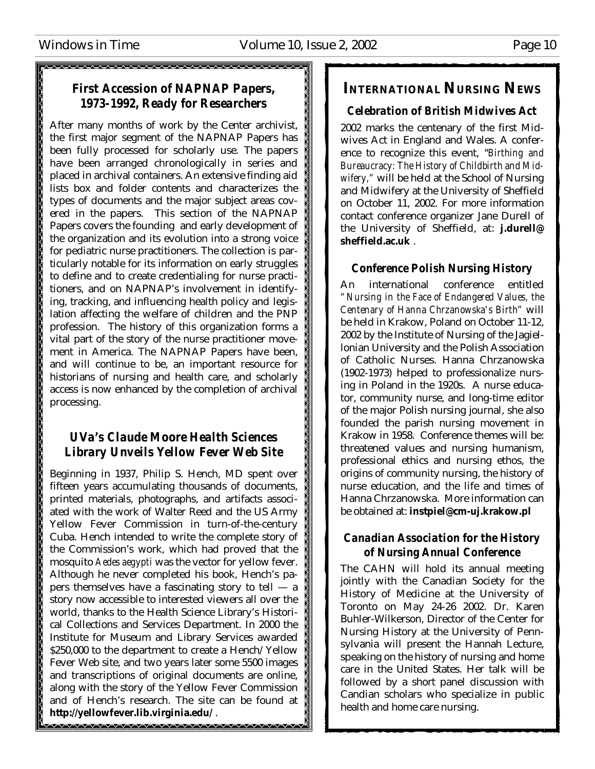### *First Accession of NAPNAP Papers, 1973-1992, Ready for Researchers*

After many months of work by the Center archivist, the first major segment of the NAPNAP Papers has been fully processed for scholarly use. The papers have been arranged chronologically in series and placed in archival containers. An extensive finding aid lists box and folder contents and characterizes the types of documents and the major subject areas covered in the papers. This section of the NAPNAP Papers covers the founding and early development of the organization and its evolution into a strong voice for pediatric nurse practitioners. The collection is particularly notable for its information on early struggles to define and to create credentialing for nurse practitioners, and on NAPNAP's involvement in identifying, tracking, and influencing health policy and legislation affecting the welfare of children and the PNP profession. The history of this organization forms a vital part of the story of the nurse practitioner movement in America. The NAPNAP Papers have been, and will continue to be, an important resource for historians of nursing and health care, and scholarly access is now enhanced by the completion of archival processing.

### *UVa's Claude Moore Health Sciences Library Unveils Yellow Fever Web Site*

Beginning in 1937, Philip S. Hench, MD spent over fifteen years accumulating thousands of documents, printed materials, photographs, and artifacts associated with the work of Walter Reed and the US Army Yellow Fever Commission in turn-of-the-century Cuba. Hench intended to write the complete story of the Commission's work, which had proved that the mosquito *Aedes aegypti* was the vector for yellow fever. Although he never completed his book, Hench's papers themselves have a fascinating story to tell — a story now accessible to interested viewers all over the world, thanks to the Health Science Library's Historical Collections and Services Department. In 2000 the Institute for Museum and Library Services awarded \$250,000 to the department to create a Hench/Yellow Fever Web site, and two years later some 5500 images and transcriptions of original documents are online, along with the story of the Yellow Fever Commission and of Hench's research. The site can be found at **http://yellowfever.lib.virginia.edu/** .

### **INTERNATIONAL NURSING NEWS**

### *Celebration of British Midwives Act*

2002 marks the centenary of the first Midwives Act in England and Wales. A conference to recognize this event, "*Birthing and Bureaucracy: The History of Childbirth and Midwifery,"* will be held at the School of Nursing and Midwifery at the University of Sheffield on October 11, 2002. For more information contact conference organizer Jane Durell of the University of Sheffield, at: **j.durell@ sheffield.ac.uk** .

### *Conference Polish Nursing History*

An international conference entitled *"Nursing in the Face of Endangered Values, the Centenary of Hanna Chrzanowska's Birth"* will be held in Krakow, Poland on October 11-12, 2002 by the Institute of Nursing of the Jagiellonian University and the Polish Association of Catholic Nurses. Hanna Chrzanowska (1902-1973) helped to professionalize nursing in Poland in the 1920s. A nurse educator, community nurse, and long-time editor of the major Polish nursing journal, she also founded the parish nursing movement in Krakow in 1958. Conference themes will be: threatened values and nursing humanism, professional ethics and nursing ethos, the origins of community nursing, the history of nurse education, and the life and times of Hanna Chrzanowska. More information can be obtained at: **instpiel@cm-uj.krakow.pl**

### *Canadian Association for the History of Nursing Annual Conference*

The CAHN will hold its annual meeting jointly with the Canadian Society for the History of Medicine at the University of Toronto on May 24-26 2002. Dr. Karen Buhler-Wilkerson, Director of the Center for Nursing History at the University of Pennsylvania will present the Hannah Lecture, speaking on the history of nursing and home care in the United States. Her talk will be followed by a short panel discussion with Candian scholars who specialize in public health and home care nursing.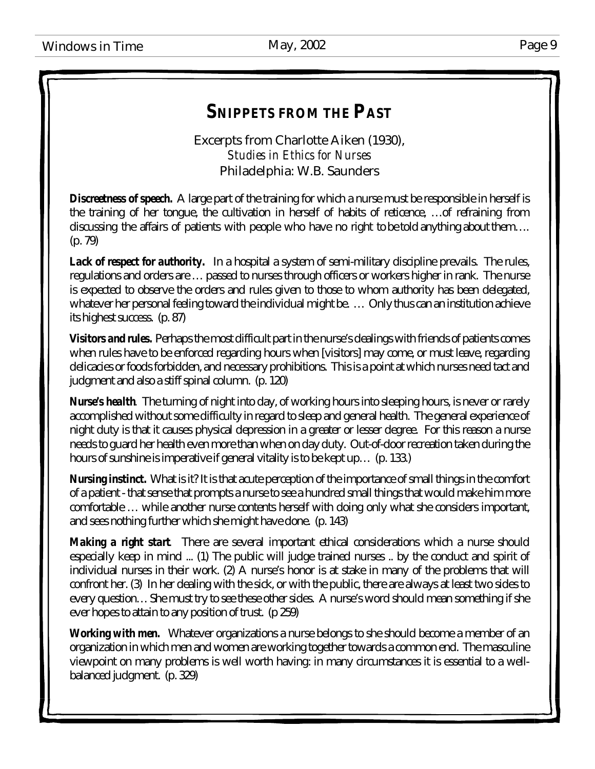# *SNIPPETS FROM THE PAST*

Excerpts from Charlotte Aiken (1930), *Studies in Ethics for Nurses* Philadelphia: W.B. Saunders

**Discreetness of speech.** A large part of the training for which a nurse must be responsible in herself is the training of her tongue, the cultivation in herself of habits of reticence, … of refraining from discussing the affairs of patients with people who have no right to be told anything about them… . (p. 79)

**Lack of respect for authority.** In a hospital a system of semi-military discipline prevails. The rules, regulations and orders are … passed to nurses through officers or workers higher in rank. The nurse is expected to observe the orders and rules given to those to whom authority has been delegated, whatever her personal feeling toward the individual might be. ... Only thus can an institution achieve its highest success. (p. 87)

*Visitors and rules.* Perhaps the most difficult part in the nurse's dealings with friends of patients comes when rules have to be enforced regarding hours when [visitors] may come, or must leave, regarding delicacies or foods forbidden, and necessary prohibitions. This is a point at which nurses need tact and judgment and also a stiff spinal column. (p. 120)

*Nurse's health.* The turning of night into day, of working hours into sleeping hours, is never or rarely accomplished without some difficulty in regard to sleep and general health. The general experience of night duty is that it causes physical depression in a greater or lesser degree. For this reason a nurse needs to guard her health even more than when on day duty. Out-of-door recreation taken during the hours of sunshine is imperative if general vitality is to be kept up... (p. 133.)

*Nursing instinct.*What is it? It is that acute perception of the importance of small things in the comfort of a patient - that sense that prompts a nurse to see a hundred small things that would make him more comfortable … while another nurse contents herself with doing only what she considers important, and sees nothing further which she might have done. (p. 143)

**Making a right start** There are several important ethical considerations which a nurse should especially keep in mind ... (1) The public will judge trained nurses .. by the conduct and spirit of individual nurses in their work. (2) A nurse's honor is at stake in many of the problems that will confront her. (3) In her dealing with the sick, or with the public, there are always at least two sides to every question… She must try to see these other sides. A nurse's word should mean something if she ever hopes to attain to any position of trust. (p 259)

*Working with men.* Whatever organizations a nurse belongs to she should become a member of an organization in which men and women are working together towards a common end. The masculine viewpoint on many problems is well worth having: in many circumstances it is essential to a wellbalanced judgment. (p. 329)